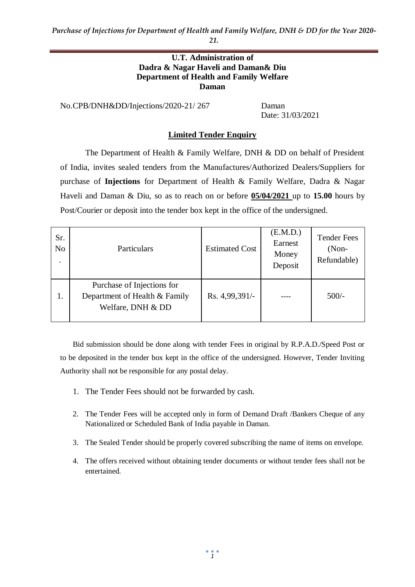#### **U.T. Administration of Dadra & Nagar Haveli and Daman& Diu Department of Health and Family Welfare Daman**

No.CPB/DNH&DD/Injections/2020-21/ 267 Daman

Date: 31/03/2021

### **Limited Tender Enquiry**

The Department of Health & Family Welfare, DNH & DD on behalf of President of India, invites sealed tenders from the Manufactures/Authorized Dealers/Suppliers for purchase of **Injections** for Department of Health & Family Welfare, Dadra & Nagar Haveli and Daman & Diu, so as to reach on or before **05/04/2021** up to **15.00** hours by Post/Courier or deposit into the tender box kept in the office of the undersigned.

| Sr.<br>N <sub>o</sub><br>٠ | Particulars                                                                      | <b>Estimated Cost</b> | (E.M.D.)<br>Earnest<br>Money<br>Deposit | <b>Tender Fees</b><br>$(Non-$<br>Refundable) |
|----------------------------|----------------------------------------------------------------------------------|-----------------------|-----------------------------------------|----------------------------------------------|
| 1.                         | Purchase of Injections for<br>Department of Health & Family<br>Welfare, DNH & DD | Rs. 4,99,391/-        |                                         | $500/-$                                      |

Bid submission should be done along with tender Fees in original by R.P.A.D./Speed Post or to be deposited in the tender box kept in the office of the undersigned. However, Tender Inviting Authority shall not be responsible for any postal delay.

- 1. The Tender Fees should not be forwarded by cash.
- 2. The Tender Fees will be accepted only in form of Demand Draft /Bankers Cheque of any Nationalized or Scheduled Bank of India payable in Daman.
- 3. The Sealed Tender should be properly covered subscribing the name of items on envelope.
- 4. The offers received without obtaining tender documents or without tender fees shall not be entertained.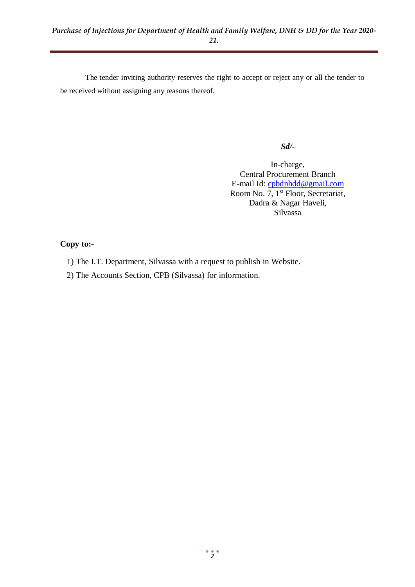The tender inviting authority reserves the right to accept or reject any or all the tender to be received without assigning any reasons thereof.

#### *Sd/-*

In-charge, Central Procurement Branch E-mail Id: [cpbdnhdd@gmail.com](mailto:cpbdnhdd@gmail.com) Room No. 7, 1<sup>st</sup> Floor, Secretariat, Dadra & Nagar Haveli, Silvassa

#### **Copy to:-**

- 1) The I.T. Department, Silvassa with a request to publish in Website.
- 2) The Accounts Section, CPB (Silvassa) for information.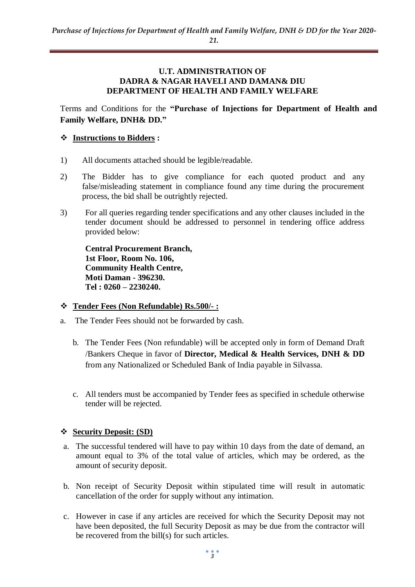#### **U.T. ADMINISTRATION OF DADRA & NAGAR HAVELI AND DAMAN& DIU DEPARTMENT OF HEALTH AND FAMILY WELFARE**

Terms and Conditions for the **"Purchase of Injections for Department of Health and Family Welfare, DNH& DD."**

#### **Instructions to Bidders :**

- 1) All documents attached should be legible/readable.
- 2) The Bidder has to give compliance for each quoted product and any false/misleading statement in compliance found any time during the procurement process, the bid shall be outrightly rejected.
- 3) For all queries regarding tender specifications and any other clauses included in the tender document should be addressed to personnel in tendering office address provided below:

**Central Procurement Branch, 1st Floor, Room No. 106, Community Health Centre, Moti Daman - 396230. Tel : 0260 – 2230240.**

#### **Tender Fees (Non Refundable) Rs.500/- :**

- a. The Tender Fees should not be forwarded by cash.
	- b. The Tender Fees (Non refundable) will be accepted only in form of Demand Draft /Bankers Cheque in favor of **Director, Medical & Health Services, DNH & DD**  from any Nationalized or Scheduled Bank of India payable in Silvassa.
	- c. All tenders must be accompanied by Tender fees as specified in schedule otherwise tender will be rejected.

#### **Security Deposit: (SD)**

- a. The successful tendered will have to pay within 10 days from the date of demand, an amount equal to 3% of the total value of articles, which may be ordered, as the amount of security deposit.
- b. Non receipt of Security Deposit within stipulated time will result in automatic cancellation of the order for supply without any intimation.
- c. However in case if any articles are received for which the Security Deposit may not have been deposited, the full Security Deposit as may be due from the contractor will be recovered from the bill(s) for such articles.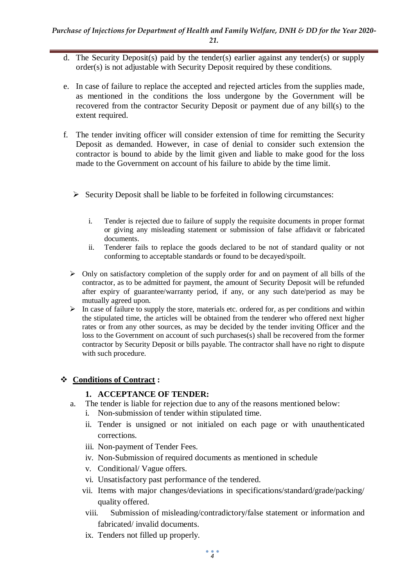- d. The Security Deposit(s) paid by the tender(s) earlier against any tender(s) or supply order(s) is not adjustable with Security Deposit required by these conditions.
- e. In case of failure to replace the accepted and rejected articles from the supplies made, as mentioned in the conditions the loss undergone by the Government will be recovered from the contractor Security Deposit or payment due of any bill(s) to the extent required.
- f. The tender inviting officer will consider extension of time for remitting the Security Deposit as demanded. However, in case of denial to consider such extension the contractor is bound to abide by the limit given and liable to make good for the loss made to the Government on account of his failure to abide by the time limit.
	- $\triangleright$  Security Deposit shall be liable to be forfeited in following circumstances:
		- i. Tender is rejected due to failure of supply the requisite documents in proper format or giving any misleading statement or submission of false affidavit or fabricated documents.
		- ii. Tenderer fails to replace the goods declared to be not of standard quality or not conforming to acceptable standards or found to be decayed/spoilt.
	- $\triangleright$  Only on satisfactory completion of the supply order for and on payment of all bills of the contractor, as to be admitted for payment, the amount of Security Deposit will be refunded after expiry of guarantee/warranty period, if any, or any such date/period as may be mutually agreed upon.
	- $\triangleright$  In case of failure to supply the store, materials etc. ordered for, as per conditions and within the stipulated time, the articles will be obtained from the tenderer who offered next higher rates or from any other sources, as may be decided by the tender inviting Officer and the loss to the Government on account of such purchases(s) shall be recovered from the former contractor by Security Deposit or bills payable. The contractor shall have no right to dispute with such procedure.

## **Conditions of Contract :**

## **1. ACCEPTANCE OF TENDER:**

- a. The tender is liable for rejection due to any of the reasons mentioned below:
	- i. Non-submission of tender within stipulated time.
	- ii. Tender is unsigned or not initialed on each page or with unauthenticated corrections.
	- iii. Non-payment of Tender Fees.
	- iv. Non-Submission of required documents as mentioned in schedule
	- v. Conditional/ Vague offers.
	- vi. Unsatisfactory past performance of the tendered.
	- vii. Items with major changes/deviations in specifications/standard/grade/packing/ quality offered.
	- viii. Submission of misleading/contradictory/false statement or information and fabricated/ invalid documents.
	- ix. Tenders not filled up properly.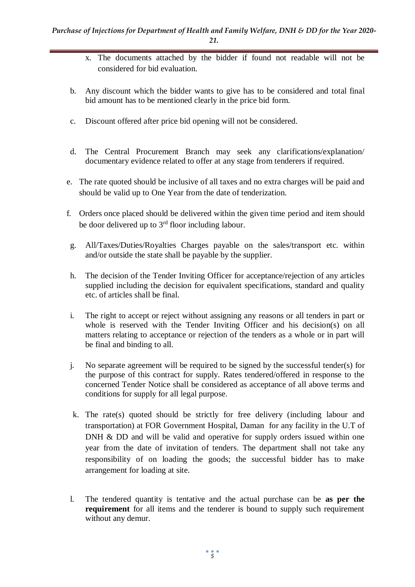- x. The documents attached by the bidder if found not readable will not be considered for bid evaluation.
- b. Any discount which the bidder wants to give has to be considered and total final bid amount has to be mentioned clearly in the price bid form.
- c. Discount offered after price bid opening will not be considered.
- d. The Central Procurement Branch may seek any clarifications/explanation/ documentary evidence related to offer at any stage from tenderers if required.
- e. The rate quoted should be inclusive of all taxes and no extra charges will be paid and should be valid up to One Year from the date of tenderization.
- f. Orders once placed should be delivered within the given time period and item should be door delivered up to  $3<sup>rd</sup>$  floor including labour.
- g. All/Taxes/Duties/Royalties Charges payable on the sales/transport etc. within and/or outside the state shall be payable by the supplier.
- h. The decision of the Tender Inviting Officer for acceptance/rejection of any articles supplied including the decision for equivalent specifications, standard and quality etc. of articles shall be final.
- i. The right to accept or reject without assigning any reasons or all tenders in part or whole is reserved with the Tender Inviting Officer and his decision(s) on all matters relating to acceptance or rejection of the tenders as a whole or in part will be final and binding to all.
- j. No separate agreement will be required to be signed by the successful tender(s) for the purpose of this contract for supply. Rates tendered/offered in response to the concerned Tender Notice shall be considered as acceptance of all above terms and conditions for supply for all legal purpose.
- k. The rate(s) quoted should be strictly for free delivery (including labour and transportation) at FOR Government Hospital, Daman for any facility in the U.T of DNH & DD and will be valid and operative for supply orders issued within one year from the date of invitation of tenders. The department shall not take any responsibility of on loading the goods; the successful bidder has to make arrangement for loading at site.
- l. The tendered quantity is tentative and the actual purchase can be **as per the requirement** for all items and the tenderer is bound to supply such requirement without any demur.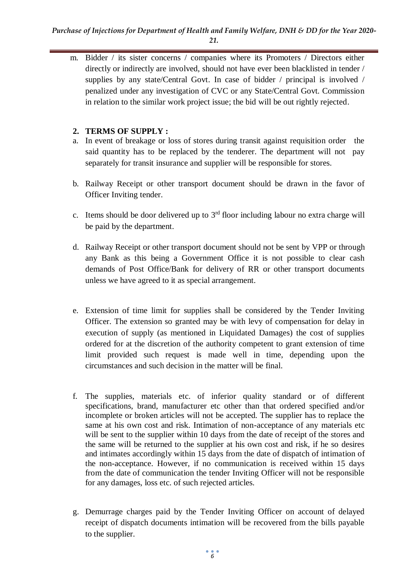#### *Purchase of Injections for Department of Health and Family Welfare, DNH & DD for the Year 2020- 21.*

m. Bidder / its sister concerns / companies where its Promoters / Directors either directly or indirectly are involved, should not have ever been blacklisted in tender / supplies by any state/Central Govt. In case of bidder / principal is involved / penalized under any investigation of CVC or any State/Central Govt. Commission in relation to the similar work project issue; the bid will be out rightly rejected.

### **2. TERMS OF SUPPLY :**

- a. In event of breakage or loss of stores during transit against requisition order the said quantity has to be replaced by the tenderer. The department will not pay separately for transit insurance and supplier will be responsible for stores.
- b. Railway Receipt or other transport document should be drawn in the favor of Officer Inviting tender.
- c. Items should be door delivered up to  $3<sup>rd</sup>$  floor including labour no extra charge will be paid by the department.
- d. Railway Receipt or other transport document should not be sent by VPP or through any Bank as this being a Government Office it is not possible to clear cash demands of Post Office/Bank for delivery of RR or other transport documents unless we have agreed to it as special arrangement.
- e. Extension of time limit for supplies shall be considered by the Tender Inviting Officer. The extension so granted may be with levy of compensation for delay in execution of supply (as mentioned in Liquidated Damages) the cost of supplies ordered for at the discretion of the authority competent to grant extension of time limit provided such request is made well in time, depending upon the circumstances and such decision in the matter will be final.
- f. The supplies, materials etc. of inferior quality standard or of different specifications, brand, manufacturer etc other than that ordered specified and/or incomplete or broken articles will not be accepted. The supplier has to replace the same at his own cost and risk. Intimation of non-acceptance of any materials etc will be sent to the supplier within 10 days from the date of receipt of the stores and the same will be returned to the supplier at his own cost and risk, if he so desires and intimates accordingly within 15 days from the date of dispatch of intimation of the non-acceptance. However, if no communication is received within 15 days from the date of communication the tender Inviting Officer will not be responsible for any damages, loss etc. of such rejected articles.
- g. Demurrage charges paid by the Tender Inviting Officer on account of delayed receipt of dispatch documents intimation will be recovered from the bills payable to the supplier.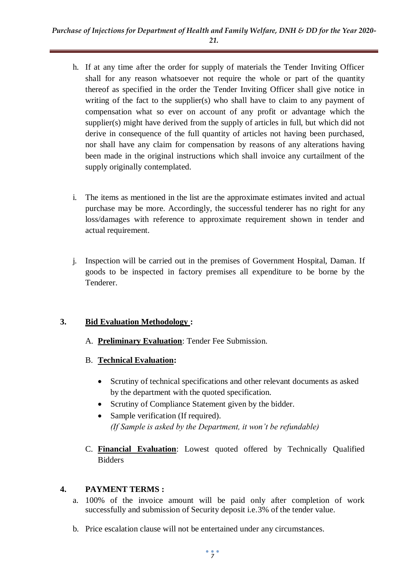- h. If at any time after the order for supply of materials the Tender Inviting Officer shall for any reason whatsoever not require the whole or part of the quantity thereof as specified in the order the Tender Inviting Officer shall give notice in writing of the fact to the supplier(s) who shall have to claim to any payment of compensation what so ever on account of any profit or advantage which the supplier(s) might have derived from the supply of articles in full, but which did not derive in consequence of the full quantity of articles not having been purchased, nor shall have any claim for compensation by reasons of any alterations having been made in the original instructions which shall invoice any curtailment of the supply originally contemplated.
- i. The items as mentioned in the list are the approximate estimates invited and actual purchase may be more. Accordingly, the successful tenderer has no right for any loss/damages with reference to approximate requirement shown in tender and actual requirement.
- j. Inspection will be carried out in the premises of Government Hospital, Daman. If goods to be inspected in factory premises all expenditure to be borne by the Tenderer.

## **3. Bid Evaluation Methodology :**

- A. **Preliminary Evaluation**: Tender Fee Submission.
- B. **Technical Evaluation:** 
	- Scrutiny of technical specifications and other relevant documents as asked by the department with the quoted specification.
	- Scrutiny of Compliance Statement given by the bidder.
	- Sample verification (If required). *(If Sample is asked by the Department, it won't be refundable)*
- C. **Financial Evaluation**: Lowest quoted offered by Technically Qualified Bidders

# **4. PAYMENT TERMS :**

- a. 100% of the invoice amount will be paid only after completion of work successfully and submission of Security deposit i.e.3% of the tender value.
- b. Price escalation clause will not be entertained under any circumstances.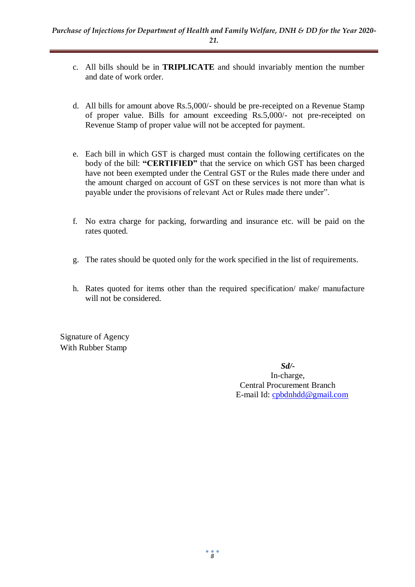- c. All bills should be in **TRIPLICATE** and should invariably mention the number and date of work order.
- d. All bills for amount above Rs.5,000/- should be pre-receipted on a Revenue Stamp of proper value. Bills for amount exceeding Rs.5,000/- not pre-receipted on Revenue Stamp of proper value will not be accepted for payment.
- e. Each bill in which GST is charged must contain the following certificates on the body of the bill: **"CERTIFIED"** that the service on which GST has been charged have not been exempted under the Central GST or the Rules made there under and the amount charged on account of GST on these services is not more than what is payable under the provisions of relevant Act or Rules made there under".
- f. No extra charge for packing, forwarding and insurance etc. will be paid on the rates quoted.
- g. The rates should be quoted only for the work specified in the list of requirements.
- h. Rates quoted for items other than the required specification/ make/ manufacture will not be considered.

Signature of Agency With Rubber Stamp

> *Sd/-* In-charge, Central Procurement Branch E-mail Id: [cpbdnhdd@gmail.com](mailto:cpbdnhdd@gmail.com)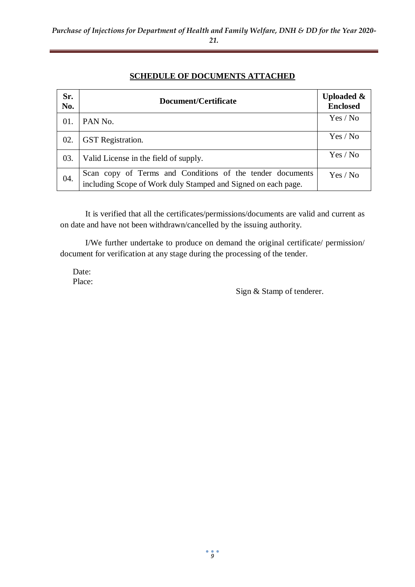## **SCHEDULE OF DOCUMENTS ATTACHED**

| Sr.<br>No. | Document/Certificate                                                                                                       | <b>Uploaded &amp;</b><br><b>Enclosed</b> |  |
|------------|----------------------------------------------------------------------------------------------------------------------------|------------------------------------------|--|
| 01.        | PAN No.                                                                                                                    | Yes / No                                 |  |
| 02.        | <b>GST</b> Registration.                                                                                                   | Yes / No                                 |  |
| 03.        | Valid License in the field of supply.                                                                                      | Yes / No                                 |  |
| 04.        | Scan copy of Terms and Conditions of the tender documents<br>including Scope of Work duly Stamped and Signed on each page. | Yes / No                                 |  |

It is verified that all the certificates/permissions/documents are valid and current as on date and have not been withdrawn/cancelled by the issuing authority.

I/We further undertake to produce on demand the original certificate/ permission/ document for verification at any stage during the processing of the tender.

Date: Place:

Sign & Stamp of tenderer.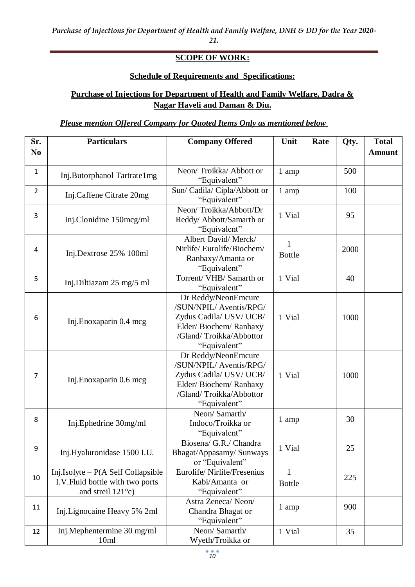**SCOPE OF WORK:**

### **Schedule of Requirements and Specifications:**

## **Purchase of Injections for Department of Health and Family Welfare, Dadra & Nagar Haveli and Daman & Diu.**

## *Please mention Offered Company for Quoted Items Only as mentioned below*

| Sr.            | <b>Particulars</b>                                                                                        | <b>Company Offered</b>                                                                                                                        | Unit                          | Rate | Qty. | <b>Total</b>  |
|----------------|-----------------------------------------------------------------------------------------------------------|-----------------------------------------------------------------------------------------------------------------------------------------------|-------------------------------|------|------|---------------|
| N <sub>0</sub> |                                                                                                           |                                                                                                                                               |                               |      |      | <b>Amount</b> |
| $\mathbf{1}$   | Inj.Butorphanol Tartrate1mg                                                                               | Neon/Troikka/Abbott or<br>"Equivalent"                                                                                                        | 1 amp                         |      | 500  |               |
| $\overline{2}$ | Inj.Caffene Citrate 20mg                                                                                  | Sun/ Cadila/ Cipla/Abbott or<br>"Equivalent"                                                                                                  | 1 amp                         |      | 100  |               |
| 3              | Inj.Clonidine 150mcg/ml                                                                                   | Neon/Troikka/Abbott/Dr<br>Reddy/ Abbott/Samarth or<br>"Equivalent"                                                                            | 1 Vial                        |      | 95   |               |
| 4              | Inj.Dextrose 25% 100ml                                                                                    | Albert David/Merck/<br>Nirlife/Eurolife/Biochem/<br>Ranbaxy/Amanta or<br>"Equivalent"                                                         | $\mathbf{1}$<br><b>Bottle</b> |      | 2000 |               |
| 5              | Inj.Diltiazam 25 mg/5 ml                                                                                  | Torrent/VHB/Samarth or<br>"Equivalent"                                                                                                        | 1 Vial                        |      | 40   |               |
| 6              | Inj.Enoxaparin 0.4 mcg                                                                                    | Dr Reddy/NeonEmcure<br>/SUN/NPIL/ Aventis/RPG/<br>Zydus Cadila/ USV/ UCB/<br>Elder/Biochem/Ranbaxy<br>/Gland/Troikka/Abbottor<br>"Equivalent" | 1 Vial                        |      | 1000 |               |
| $\overline{7}$ | Inj.Enoxaparin 0.6 mcg                                                                                    | Dr Reddy/NeonEmcure<br>/SUN/NPIL/ Aventis/RPG/<br>Zydus Cadila/ USV/ UCB/<br>Elder/Biochem/Ranbaxy<br>/Gland/Troikka/Abbottor<br>"Equivalent" | 1 Vial                        |      | 1000 |               |
| 8              | Inj.Ephedrine 30mg/ml                                                                                     | Neon/ Samarth/<br>Indoco/Troikka or<br>"Equivalent"                                                                                           | 1 amp                         |      | 30   |               |
| 9              | Inj.Hyaluronidase 1500 I.U.                                                                               | Biosena/ G.R./ Chandra<br>Bhagat/Appasamy/ Sunways<br>or "Equivalent"                                                                         | 1 Vial                        |      | 25   |               |
| 10             | Inj.Isolyte – $P(A \leq f$ Collapsible<br>I.V. Fluid bottle with two ports<br>and streil $121^{\circ}$ c) | Eurolife/Nirlife/Fresenius<br>Kabi/Amanta or<br>"Equivalent"                                                                                  | $\mathbf{1}$<br><b>Bottle</b> |      | 225  |               |
| 11             | Inj. Lignocaine Heavy 5% 2ml                                                                              | Astra Zeneca/Neon/<br>Chandra Bhagat or<br>"Equivalent"                                                                                       | 1 amp                         |      | 900  |               |
| 12             | Inj.Mephentermine 30 mg/ml<br>10ml                                                                        | Neon/Samarth/<br>Wyeth/Troikka or                                                                                                             | 1 Vial                        |      | 35   |               |